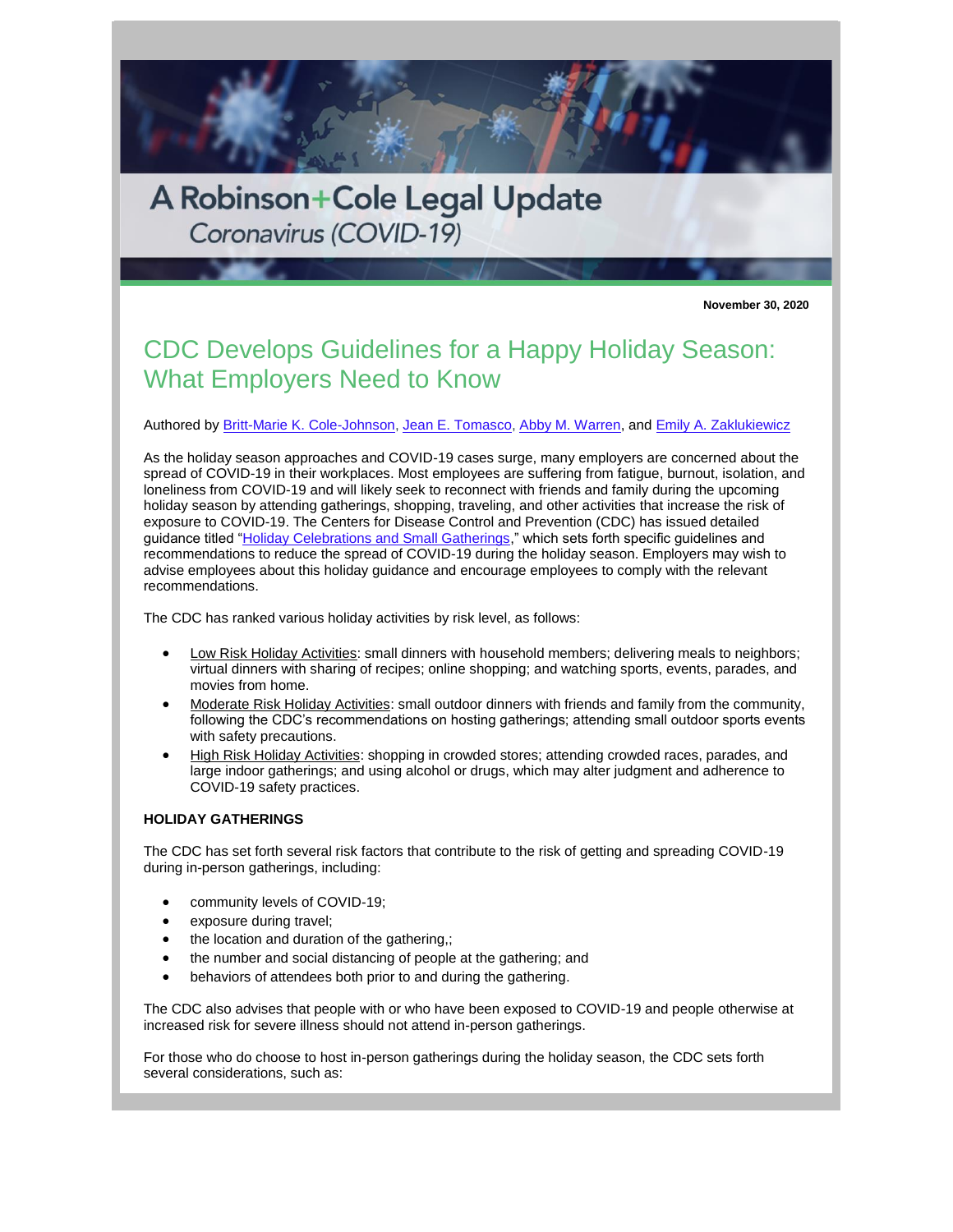

**November 30, 2020**

## CDC Develops Guidelines for a Happy Holiday Season: What Employers Need to Know

Authored by [Britt-Marie K. Cole-Johnson,](http://www.rc.com/people/Britt-MarieKCole-Johnson.cfm) [Jean E. Tomasco,](http://www.rc.com/people/JeanETomasco.cfm) [Abby M. Warren,](http://www.rc.com/people/AbbyMWarren.cfm) and [Emily A. Zaklukiewicz](http://www.rc.com/people/EmilyAZaklukiewicz.cfm)

As the holiday season approaches and COVID-19 cases surge, many employers are concerned about the spread of COVID-19 in their workplaces. Most employees are suffering from fatigue, burnout, isolation, and loneliness from COVID-19 and will likely seek to reconnect with friends and family during the upcoming holiday season by attending gatherings, shopping, traveling, and other activities that increase the risk of exposure to COVID-19. The Centers for Disease Control and Prevention (CDC) has issued detailed guidance titled ["Holiday Celebrations and Small Gatherings,](https://www.cdc.gov/coronavirus/2019-ncov/daily-life-coping/holidays.html)" which sets forth specific guidelines and recommendations to reduce the spread of COVID-19 during the holiday season. Employers may wish to advise employees about this holiday guidance and encourage employees to comply with the relevant recommendations.

The CDC has ranked various holiday activities by risk level, as follows:

- Low Risk Holiday Activities: small dinners with household members; delivering meals to neighbors; virtual dinners with sharing of recipes; online shopping; and watching sports, events, parades, and movies from home.
- Moderate Risk Holiday Activities: small outdoor dinners with friends and family from the community, following the CDC's recommendations on hosting gatherings; attending small outdoor sports events with safety precautions.
- High Risk Holiday Activities: shopping in crowded stores; attending crowded races, parades, and large indoor gatherings; and using alcohol or drugs, which may alter judgment and adherence to COVID-19 safety practices.

## **HOLIDAY GATHERINGS**

The CDC has set forth several risk factors that contribute to the risk of getting and spreading COVID-19 during in-person gatherings, including:

- community levels of COVID-19;
- exposure during travel;
- the location and duration of the gathering,;
- the number and social distancing of people at the gathering; and
- behaviors of attendees both prior to and during the gathering.

The CDC also advises that people with or who have been exposed to COVID-19 and people otherwise at increased risk for severe illness should not attend in-person gatherings.

For those who do choose to host in-person gatherings during the holiday season, the CDC sets forth several considerations, such as: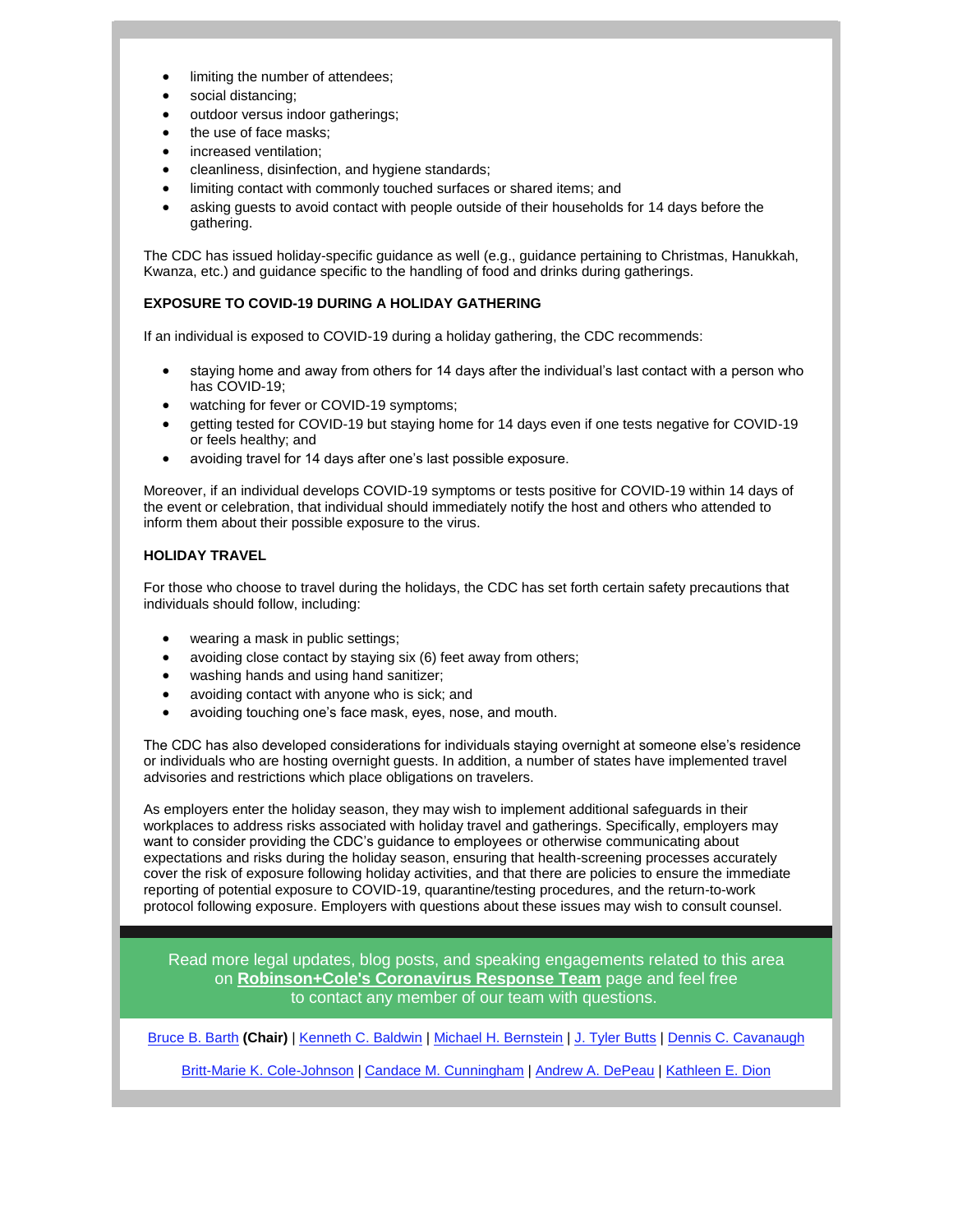- limiting the number of attendees;
- social distancing;
- outdoor versus indoor gatherings;
- the use of face masks:
- increased ventilation;
- cleanliness, disinfection, and hygiene standards;
- limiting contact with commonly touched surfaces or shared items; and
- asking guests to avoid contact with people outside of their households for 14 days before the gathering.

The CDC has issued holiday-specific guidance as well (e.g., guidance pertaining to Christmas, Hanukkah, Kwanza, etc.) and guidance specific to the handling of food and drinks during gatherings.

## **EXPOSURE TO COVID-19 DURING A HOLIDAY GATHERING**

If an individual is exposed to COVID-19 during a holiday gathering, the CDC recommends:

- staying home and away from others for 14 days after the individual's last contact with a person who has COVID-19;
- watching for fever or COVID-19 symptoms;
- getting tested for COVID-19 but staying home for 14 days even if one tests negative for COVID-19 or feels healthy; and
- avoiding travel for 14 days after one's last possible exposure.

Moreover, if an individual develops COVID-19 symptoms or tests positive for COVID-19 within 14 days of the event or celebration, that individual should immediately notify the host and others who attended to inform them about their possible exposure to the virus.

## **HOLIDAY TRAVEL**

For those who choose to travel during the holidays, the CDC has set forth certain safety precautions that individuals should follow, including:

- wearing a mask in public settings;
- avoiding close contact by staying six (6) feet away from others;
- washing hands and using hand sanitizer;
- avoiding contact with anyone who is sick; and
- avoiding touching one's face mask, eyes, nose, and mouth.

The CDC has also developed considerations for individuals staying overnight at someone else's residence or individuals who are hosting overnight guests. In addition, a number of states have implemented travel advisories and restrictions which place obligations on travelers.

As employers enter the holiday season, they may wish to implement additional safeguards in their workplaces to address risks associated with holiday travel and gatherings. Specifically, employers may want to consider providing the CDC's guidance to employees or otherwise communicating about expectations and risks during the holiday season, ensuring that health-screening processes accurately cover the risk of exposure following holiday activities, and that there are policies to ensure the immediate reporting of potential exposure to COVID-19, quarantine/testing procedures, and the return-to-work protocol following exposure. Employers with questions about these issues may wish to consult counsel.

Read more legal updates, blog posts, and speaking engagements related to this area on **[Robinson+Cole's Coronavirus Response Team](http://www.rc.com/coronavirus)** page and feel free to contact any member of our team with questions.

[Bruce B. Barth](http://www.rc.com/people/BruceBBarth.cfm) **(Chair)** | [Kenneth C. Baldwin](http://www.rc.com/people/KennethCBaldwin.cfm) | [Michael H. Bernstein](http://www.rc.com/people/MichaelHBernstein.cfm) | [J. Tyler Butts](http://www.rc.com/people/JTylerButts.cfm) | [Dennis C. Cavanaugh](http://www.rc.com/people/DennisCCavanaugh.cfm)

[Britt-Marie K. Cole-Johnson](http://www.rc.com/people/Britt-MarieKCole-Johnson.cfm) | [Candace M. Cunningham](http://www.rc.com/people/CandaceMCunningham.cfm) | [Andrew A. DePeau](http://www.rc.com/people/AndrewADePeau.cfm) | [Kathleen E. Dion](http://www.rc.com/people/KathleenEDion.cfm)